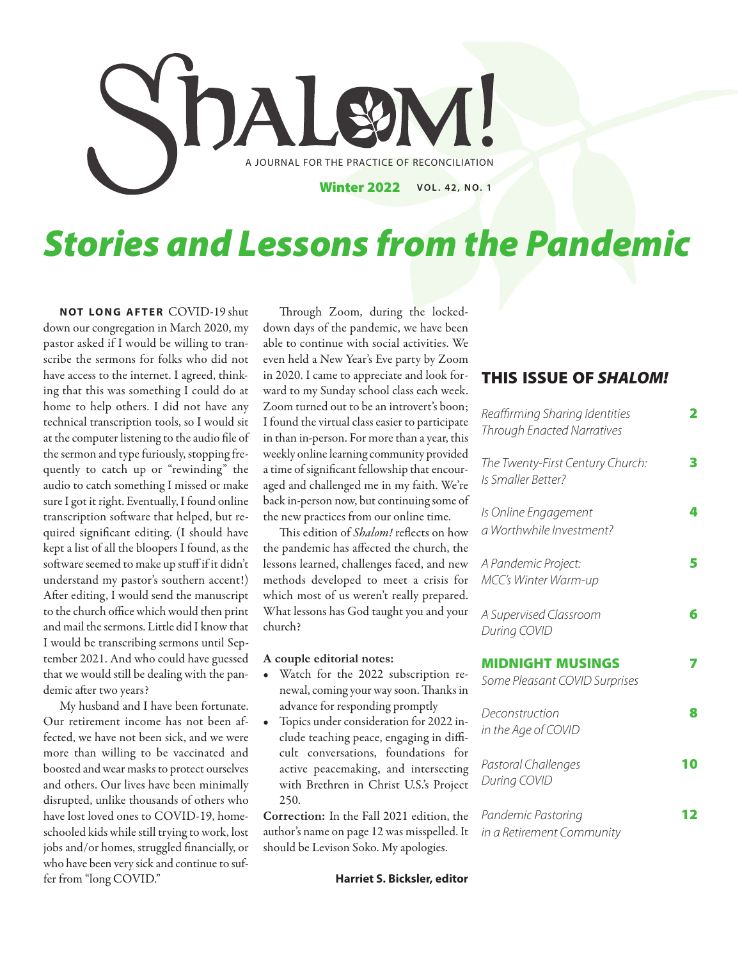

# *Stories and Lessons from the Pandemic*

**NOT LONG AFTER COVID-19 shut** down our congregation in March 2020, my pastor asked if I would be willing to transcribe the sermons for folks who did not have access to the internet. I agreed, thinking that this was something I could do at home to help others. I did not have any technical transcription tools, so I would sit at the computer listening to the audio file of the sermon and type furiously, stopping frequently to catch up or "rewinding" the audio to catch something I missed or make sure I got it right. Eventually, I found online transcription software that helped, but required significant editing. (I should have kept a list of all the bloopers I found, as the software seemed to make up stuff if it didn't understand my pastor's southern accent!) After editing, I would send the manuscript to the church office which would then print and mail the sermons. Little did I know that I would be transcribing sermons until September 2021. And who could have guessed that we would still be dealing with the pandemic after two years?

My husband and I have been fortunate. Our retirement income has not been affected, we have not been sick, and we were more than willing to be vaccinated and boosted and wear masks to protect ourselves and others. Our lives have been minimally disrupted, unlike thousands of others who have lost loved ones to COVID-19, homeschooled kids while still trying to work, lost jobs and/or homes, struggled financially, or who have been very sick and continue to suffer from "long COVID."

Through Zoom, during the lockeddown days of the pandemic, we have been able to continue with social activities. We even held a New Year's Eve party by Zoom in 2020. I came to appreciate and look forward to my Sunday school class each week. Zoom turned out to be an introvert's boon; I found the virtual class easier to participate in than in-person. For more than a year, this weekly online learning community provided a time of significant fellowship that encouraged and challenged me in my faith. We're back in-person now, but continuing some of the new practices from our online time.

This edition of Shalom! reflects on how the pandemic has affected the church, the lessons learned, challenges faced, and new methods developed to meet a crisis for which most of us weren't really prepared. What lessons has God taught you and your church?

### **A couple editorial notes:**

- Watch for the 2022 subscription renewal, coming your way soon. Thanks in advance for responding promptly
- Topics under consideration for 2022 include teaching peace, engaging in difficult conversations, foundations for active peacemaking, and intersecting with Brethren in Christ U.S.'s Project 250.

**Correction:** In the Fall 2021 edition, the author's name on page 12 was misspelled. It should be Levison Soko. My apologies.

### **THIS ISSUE OF** *SHALOM!*

| Reaffirming Sharing Identities<br><b>Through Enacted Narratives</b> | 2  |
|---------------------------------------------------------------------|----|
| The Twenty-First Century Church:<br>Is Smaller Better?              | 3  |
| Is Online Engagement<br>a Worthwhile Investment?                    | 4  |
| A Pandemic Project:<br><b>MCC's Winter Warm-up</b>                  | 5  |
| A Supervised Classroom<br>During COVID                              | 6  |
| <b>MIDNIGHT MUSINGS</b><br>Some Pleasant COVID Surprises            |    |
| Deconstruction<br>in the Age of COVID                               | 8  |
| Pastoral Challenges<br>During COVID                                 | 10 |
| Pandemic Pastoring<br>in a Retirement Community                     |    |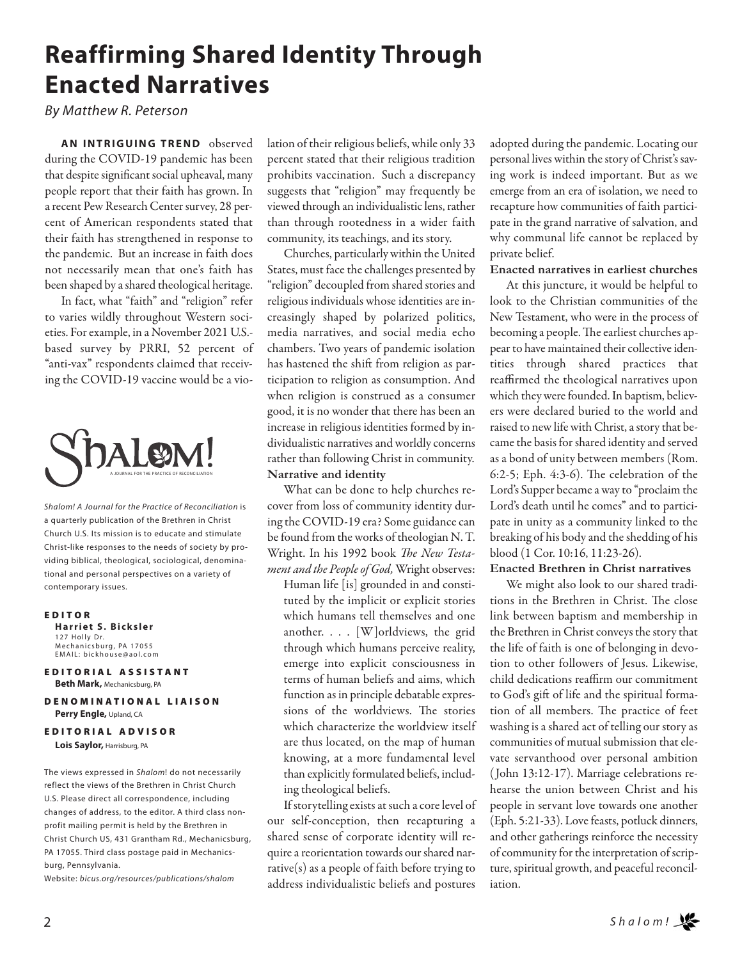## **Reaffirming Shared Identity Through Enacted Narratives**

*By Matthew R. Peterson*

**AN INTRIGUING TREND** observed during the COVID-19 pandemic has been that despite significant social upheaval, many people report that their faith has grown. In a recent Pew Research Center survey, 28 percent of American respondents stated that their faith has strengthened in response to the pandemic. But an increase in faith does not necessarily mean that one's faith has been shaped by a shared theological heritage.

In fact, what "faith" and "religion" refer to varies wildly throughout Western societies. For example, in a November 2021 U.S. based survey by PRRI, 52 percent of "anti-vax" respondents claimed that receiving the COVID-19 vaccine would be a vio-



*Shalom! A Journal for the Practice of Reconciliation* is a quarterly publication of the Brethren in Christ Church U.S. Its mission is to educate and stimulate Christ-like responses to the needs of society by providing biblical, theological, sociological, denominational and personal perspectives on a variety of contemporary issues.

#### **E D I T O R**

**Harriet S. Bicksler** 127 Holly Dr. Mechanicsburg, PA 17055 EMAIL: bickhouse@aol.com

**EDITORIAL ASSISTANT Beth Mark,** Mechanicsburg, PA

**D E N O M I N A T I O N A L L I A I S O N Perry Engle,** Upland, CA

**EDITORIAL ADVISOR Lois Saylor,** Harrisburg, PA

The views expressed in *Shalom*! do not necessarily reflect the views of the Brethren in Christ Church U.S. Please direct all correspondence, including changes of address, to the editor. A third class nonprofit mailing permit is held by the Brethren in Christ Church US, 431 Grantham Rd., Mechanicsburg, PA 17055. Third class postage paid in Mechanicsburg, Pennsylvania.

Website: *bicus.org/resources/publications/shalom*

lation of their religious beliefs, while only 33 percent stated that their religious tradition prohibits vaccination. Such a discrepancy suggests that "religion" may frequently be viewed through an individualistic lens, rather than through rootedness in a wider faith community, its teachings, and its story.

Churches, particularly within the United States, must face the challenges presented by "religion" decoupled from shared stories and religious individuals whose identities are increasingly shaped by polarized politics, media narratives, and social media echo chambers. Two years of pandemic isolation has hastened the shift from religion as participation to religion as consumption. And when religion is construed as a consumer good, it is no wonder that there has been an increase in religious identities formed by individualistic narratives and worldly concerns rather than following Christ in community. **Narrative and identity**

What can be done to help churches recover from loss of community identity during the COVID-19 era? Some guidance can be found from the works of theologian N. T. Wright. In his 1992 book The New Testament and the People of God, Wright observes:

Human life [is] grounded in and constituted by the implicit or explicit stories which humans tell themselves and one another. . . . [W]orldviews, the grid through which humans perceive reality, emerge into explicit consciousness in terms of human beliefs and aims, which function as in principle debatable expressions of the worldviews. The stories which characterize the worldview itself are thus located, on the map of human knowing, at a more fundamental level than explicitly formulated beliefs, including theological beliefs.

If storytelling exists at such a core level of our self-conception, then recapturing a shared sense of corporate identity will require a reorientation towards our shared narrative(s) as a people of faith before trying to address individualistic beliefs and postures adopted during the pandemic. Locating our personal lives within the story of Christ's saving work is indeed important. But as we emerge from an era of isolation, we need to recapture how communities of faith participate in the grand narrative of salvation, and why communal life cannot be replaced by private belief.

#### **Enacted narratives in earliest churches**

At this juncture, it would be helpful to look to the Christian communities of the New Testament, who were in the process of becoming a people. The earliest churches appear to have maintained their collective identities through shared practices that reaffirmed the theological narratives upon which they were founded. In baptism, believers were declared buried to the world and raised to new life with Christ, a story that became the basis for shared identity and served as a bond of unity between members (Rom. 6:2-5; Eph. 4:3-6). The celebration of the Lord's Supper became a way to "proclaim the Lord's death until he comes" and to participate in unity as a community linked to the breaking of his body and the shedding of his blood (1 Cor. 10:16, 11:23-26).

### **Enacted Brethren in Christ narratives**

We might also look to our shared traditions in the Brethren in Christ. The close link between baptism and membership in the Brethren in Christ conveys the story that the life of faith is one of belonging in devotion to other followers of Jesus. Likewise, child dedications reaffirm our commitment to God's gift of life and the spiritual formation of all members. The practice of feet washing is a shared act of telling our story as communities of mutual submission that elevate servanthood over personal ambition ( John 13:12-17). Marriage celebrations rehearse the union between Christ and his people in servant love towards one another (Eph. 5:21-33). Love feasts, potluck dinners, and other gatherings reinforce the necessity of community for the interpretation of scripture, spiritual growth, and peaceful reconciliation.

2 *S h a l o m !*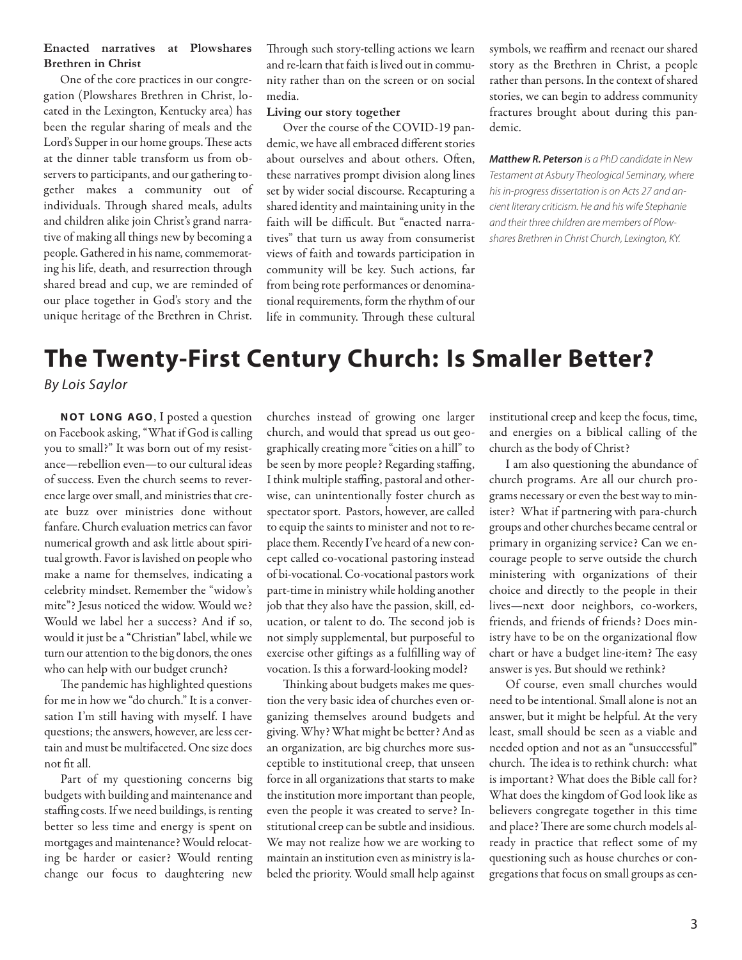### **Enacted narratives at Plowshares Brethren in Christ**

One of the core practices in our congregation (Plowshares Brethren in Christ, located in the Lexington, Kentucky area) has been the regular sharing of meals and the Lord's Supper in our home groups. These acts at the dinner table transform us from observers to participants, and our gathering together makes a community out of individuals. Through shared meals, adults and children alike join Christ's grand narrative of making all things new by becoming a people. Gathered in his name, commemorating his life, death, and resurrection through shared bread and cup, we are reminded of our place together in God's story and the unique heritage of the Brethren in Christ.

Through such story-telling actions we learn and re-learn that faith is lived out in community rather than on the screen or on social media.

### **Living our story together**

Over the course of the COVID-19 pandemic, we have all embraced different stories about ourselves and about others. Often, these narratives prompt division along lines set by wider social discourse. Recapturing a shared identity and maintaining unity in the faith will be difficult. But "enacted narratives" that turn us away from consumerist views of faith and towards participation in community will be key. Such actions, far from being rote performances or denominational requirements, form the rhythm of our life in community. Through these cultural

symbols, we reaffirm and reenact our shared story as the Brethren in Christ, a people rather than persons. In the context of shared stories, we can begin to address community fractures brought about during this pandemic.

*Matthew R. Peterson* is a PhD candidate in New Testament at Asbury Theological Seminary, where his in-progress dissertation is on Acts 27 and ancient literary criticism. He and his wife Stephanie and their three children are members of Plowshares Brethren in Christ Church, Lexington, KY.

### **The Twenty-First Century Church: Is Smaller Better?** *By Lois Saylor*

**NOT LONG AGO**, I posted a question on Facebook asking, "What if God is calling you to small?" It was born out of my resistance—rebellion even—to our cultural ideas of success. Even the church seems to reverence large over small, and ministries that create buzz over ministries done without fanfare. Church evaluation metrics can favor numerical growth and ask little about spiritual growth. Favor is lavished on people who make a name for themselves, indicating a celebrity mindset. Remember the "widow's mite"? Jesus noticed the widow. Would we? Would we label her a success? And if so, would it just be a "Christian" label, while we turn our attention to the big donors, the ones who can help with our budget crunch?

The pandemic has highlighted questions for me in how we "do church." It is a conversation I'm still having with myself. I have questions; the answers, however, are less certain and must be multifaceted. One size does not fit all.

Part of my questioning concerns big budgets with building and maintenance and staffing costs. If we need buildings, is renting better so less time and energy is spent on mortgages and maintenance? Would relocating be harder or easier? Would renting change our focus to daughtering new

churches instead of growing one larger church, and would that spread us out geographically creating more "cities on a hill" to be seen by more people? Regarding staffing, I think multiple staffing, pastoral and otherwise, can unintentionally foster church as spectator sport. Pastors, however, are called to equip the saints to minister and not to replace them. Recently I've heard of a new concept called co-vocational pastoring instead of bi-vocational. Co-vocational pastors work part-time in ministry while holding another job that they also have the passion, skill, education, or talent to do. The second job is not simply supplemental, but purposeful to exercise other giftings as a fulfilling way of vocation. Is this a forward-looking model?

Thinking about budgets makes me question the very basic idea of churches even organizing themselves around budgets and giving. Why? What might be better? And as an organization, are big churches more susceptible to institutional creep, that unseen force in all organizations that starts to make the institution more important than people, even the people it was created to serve? Institutional creep can be subtle and insidious. We may not realize how we are working to maintain an institution even as ministry is labeled the priority. Would small help against

institutional creep and keep the focus, time, and energies on a biblical calling of the church as the body of Christ?

I am also questioning the abundance of church programs. Are all our church programs necessary or even the best way to minister? What if partnering with para-church groups and other churches became central or primary in organizing service? Can we encourage people to serve outside the church ministering with organizations of their choice and directly to the people in their lives—next door neighbors, co-workers, friends, and friends of friends? Does ministry have to be on the organizational flow chart or have a budget line-item? The easy answer is yes. But should we rethink?

Of course, even small churches would need to be intentional. Small alone is not an answer, but it might be helpful. At the very least, small should be seen as a viable and needed option and not as an "unsuccessful" church. The idea is to rethink church: what is important? What does the Bible call for? What does the kingdom of God look like as believers congregate together in this time and place? There are some church models already in practice that reflect some of my questioning such as house churches or congregations that focus on small groups as cen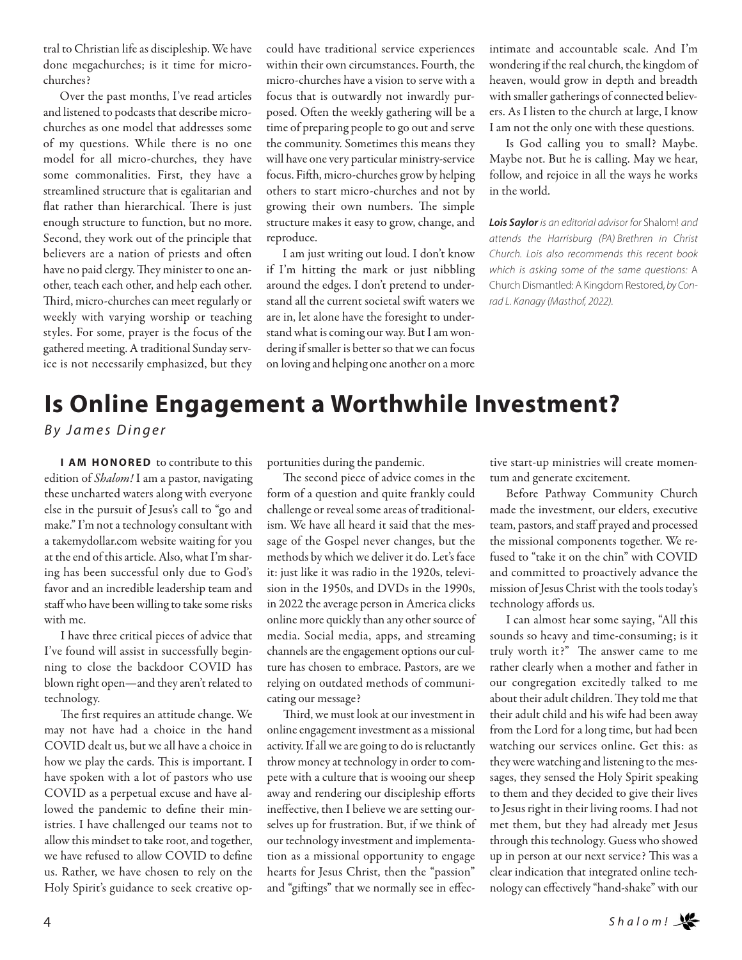tral to Christian life as discipleship. We have done megachurches; is it time for microchurches?

Over the past months, I've read articles and listened to podcasts that describe microchurches as one model that addresses some of my questions. While there is no one model for all micro-churches, they have some commonalities. First, they have a streamlined structure that is egalitarian and flat rather than hierarchical. There is just enough structure to function, but no more. Second, they work out of the principle that believers are a nation of priests and often have no paid clergy. They minister to one another, teach each other, and help each other. Third, micro-churches can meet regularly or weekly with varying worship or teaching styles. For some, prayer is the focus of the gathered meeting. A traditional Sunday service is not necessarily emphasized, but they

could have traditional service experiences within their own circumstances. Fourth, the micro-churches have a vision to serve with a focus that is outwardly not inwardly purposed. Often the weekly gathering will be a time of preparing people to go out and serve the community. Sometimes this means they will have one very particular ministry-service focus. Fifth, micro-churches grow by helping others to start micro-churches and not by growing their own numbers. The simple structure makes it easy to grow, change, and reproduce.

I am just writing out loud. I don't know if I'm hitting the mark or just nibbling around the edges. I don't pretend to understand all the current societal swift waters we are in, let alone have the foresight to understand what is coming our way. But I am wondering if smaller is better so that we can focus on loving and helping one another on a more intimate and accountable scale. And I'm wondering if the real church, the kingdom of heaven, would grow in depth and breadth with smaller gatherings of connected believers. As I listen to the church at large, I know I am not the only one with these questions.

Is God calling you to small? Maybe. Maybe not. But he is calling. May we hear, follow, and rejoice in all the ways he works in the world.

*Lois Saylor* is an editorial advisor for Shalom! and attends the Harrisburg (PA) Brethren in Christ Church. Lois also recommends this recent book which is asking some of the same questions: A Church Dismantled: A Kingdom Restored, by Conrad L. Kanagy (Masthof, 2022).

## **Is Online Engagement a Worthwhile Investment?**

*B y J a m e s D i n g e r*

**I AM HONORED** to contribute to this edition of *Shalom!* I am a pastor, navigating these uncharted waters along with everyone else in the pursuit of Jesus's call to "go and make." I'm not a technology consultant with a takemydollar.com website waiting for you at the end of this article. Also, what I'm sharing has been successful only due to God's favor and an incredible leadership team and staff who have been willing to take some risks with me.

I have three critical pieces of advice that I've found will assist in successfully beginning to close the backdoor COVID has blown right open—and they aren't related to technology.

The first requires an attitude change. We may not have had a choice in the hand COVID dealt us, but we all have a choice in how we play the cards. This is important. I have spoken with a lot of pastors who use COVID as a perpetual excuse and have allowed the pandemic to define their ministries. I have challenged our teams not to allow this mindset to take root, and together, we have refused to allow COVID to define us. Rather, we have chosen to rely on the Holy Spirit's guidance to seek creative opportunities during the pandemic.

The second piece of advice comes in the form of a question and quite frankly could challenge or reveal some areas of traditionalism. We have all heard it said that the message of the Gospel never changes, but the methods by which we deliver it do. Let's face it: just like it was radio in the 1920s, television in the 1950s, and DVDs in the 1990s, in 2022 the average person in America clicks online more quickly than any other source of media. Social media, apps, and streaming channels are the engagement options our culture has chosen to embrace. Pastors, are we relying on outdated methods of communicating our message?

Third, we must look at our investment in online engagement investment as a missional activity. If all we are going to do is reluctantly throw money at technology in order to compete with a culture that is wooing our sheep away and rendering our discipleship efforts ineffective, then I believe we are setting ourselves up for frustration. But, if we think of our technology investment and implementation as a missional opportunity to engage hearts for Jesus Christ, then the "passion" and "giftings" that we normally see in effective start-up ministries will create momentum and generate excitement.

Before Pathway Community Church made the investment, our elders, executive team, pastors, and staff prayed and processed the missional components together. We refused to "take it on the chin" with COVID and committed to proactively advance the mission of Jesus Christ with the tools today's technology affords us.

I can almost hear some saying, "All this sounds so heavy and time-consuming; is it truly worth it?" The answer came to me rather clearly when a mother and father in our congregation excitedly talked to me about their adult children. They told me that their adult child and his wife had been away from the Lord for a long time, but had been watching our services online. Get this: as they were watching and listening to the messages, they sensed the Holy Spirit speaking to them and they decided to give their lives to Jesus right in their living rooms. I had not met them, but they had already met Jesus through this technology. Guess who showed up in person at our next service? This was a clear indication that integrated online technology can effectively "hand-shake" with our

4 *S h a l o m !*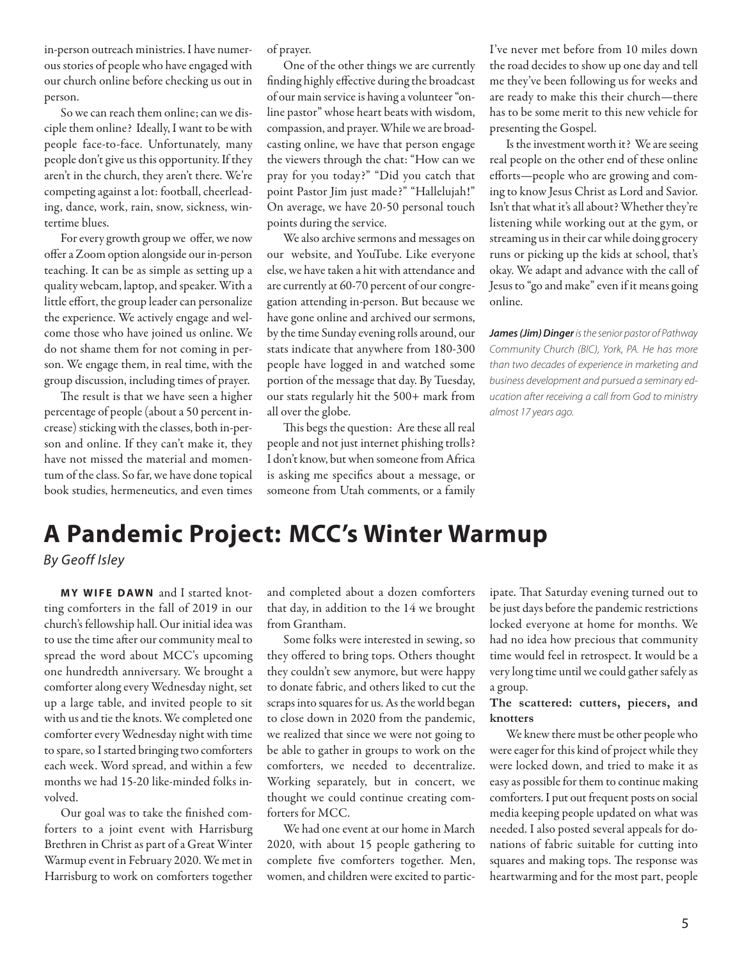in-person outreach ministries. I have numerous stories of people who have engaged with our church online before checking us out in person.

So we can reach them online; can we disciple them online? Ideally, I want to be with people face-to-face. Unfortunately, many people don't give us this opportunity. If they aren't in the church, they aren't there. We're competing against a lot: football, cheerleading, dance, work, rain, snow, sickness, wintertime blues.

For every growth group we offer, we now offer a Zoom option alongside our in-person teaching. It can be as simple as setting up a quality webcam, laptop, and speaker. With a little effort, the group leader can personalize the experience. We actively engage and welcome those who have joined us online. We do not shame them for not coming in person. We engage them, in real time, with the group discussion, including times of prayer.

The result is that we have seen a higher percentage of people (about a 50 percent increase) sticking with the classes, both in-person and online. If they can't make it, they have not missed the material and momentum of the class. So far, we have done topical book studies, hermeneutics, and even times

of prayer.

One of the other things we are currently finding highly effective during the broadcast of our main service is having a volunteer "online pastor" whose heart beats with wisdom, compassion, and prayer. While we are broadcasting online, we have that person engage the viewers through the chat: "How can we pray for you today?" "Did you catch that point Pastor Jim just made?" "Hallelujah!" On average, we have 20-50 personal touch points during the service.

We also archive sermons and messages on our website, and YouTube. Like everyone else, we have taken a hit with attendance and are currently at 60-70 percent of our congregation attending in-person. But because we have gone online and archived our sermons, by the time Sunday evening rolls around, our stats indicate that anywhere from 180-300 people have logged in and watched some portion of the message that day. By Tuesday, our stats regularly hit the 500+ mark from all over the globe.

This begs the question: Are these all real people and not just internet phishing trolls? I don't know, but when someone from Africa is asking me specifics about a message, or someone from Utah comments, or a family I've never met before from 10 miles down the road decides to show up one day and tell me they've been following us for weeks and are ready to make this their church—there has to be some merit to this new vehicle for presenting the Gospel.

Is the investment worth it? We are seeing real people on the other end of these online efforts—people who are growing and coming to know Jesus Christ as Lord and Savior. Isn't that what it's all about? Whether they're listening while working out at the gym, or streaming us in their car while doing grocery runs or picking up the kids at school, that's okay. We adapt and advance with the call of Jesus to "go and make" even if it means going online.

*James (Jim) Dinger* is the senior pastor of Pathway Community Church (BIC), York, PA. He has more than two decades of experience in marketing and business development and pursued a seminary education after receiving a call from God to ministry almost 17 years ago.

### **A Pandemic Project: MCC's Winter Warmup**  *By Geoff Isley*

**MY WIFE DAWN** and I started knotting comforters in the fall of 2019 in our church's fellowship hall. Our initial idea was to use the time after our community meal to spread the word about MCC's upcoming one hundredth anniversary. We brought a comforter along every Wednesday night, set up a large table, and invited people to sit with us and tie the knots. We completed one comforter every Wednesday night with time to spare, so I started bringing two comforters each week. Word spread, and within a few months we had 15-20 like-minded folks involved.

Our goal was to take the finished comforters to a joint event with Harrisburg Brethren in Christ as part of a Great Winter Warmup event in February 2020. We met in Harrisburg to work on comforters together and completed about a dozen comforters that day, in addition to the 14 we brought from Grantham.

Some folks were interested in sewing, so they offered to bring tops. Others thought they couldn't sew anymore, but were happy to donate fabric, and others liked to cut the scraps into squares for us. As the world began to close down in 2020 from the pandemic, we realized that since we were not going to be able to gather in groups to work on the comforters, we needed to decentralize. Working separately, but in concert, we thought we could continue creating comforters for MCC.

We had one event at our home in March 2020, with about 15 people gathering to complete five comforters together. Men, women, and children were excited to participate. That Saturday evening turned out to be just days before the pandemic restrictions locked everyone at home for months. We had no idea how precious that community time would feel in retrospect. It would be a very long time until we could gather safely as a group.

### **The scattered: cutters, piecers, and knotters**

We knew there must be other people who were eager for this kind of project while they were locked down, and tried to make it as easy as possible for them to continue making comforters. I put out frequent posts on social media keeping people updated on what was needed. I also posted several appeals for donations of fabric suitable for cutting into squares and making tops. The response was heartwarming and for the most part, people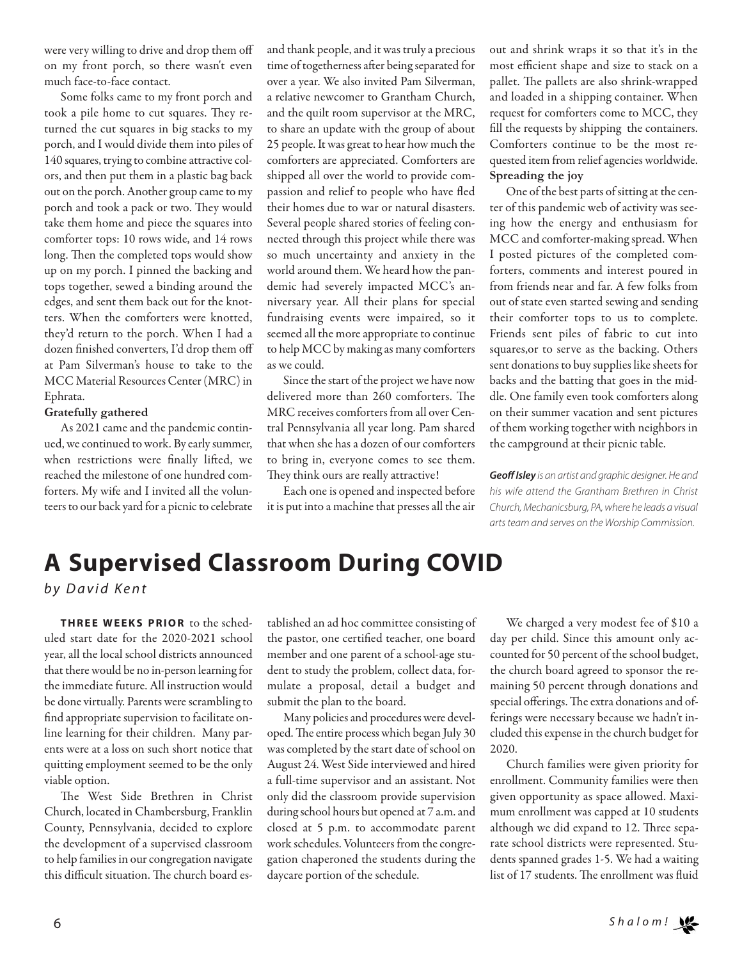were very willing to drive and drop them off on my front porch, so there wasn't even much face-to-face contact.

Some folks came to my front porch and took a pile home to cut squares. They returned the cut squares in big stacks to my porch, and I would divide them into piles of 140 squares, trying to combine attractive colors, and then put them in a plastic bag back out on the porch. Another group came to my porch and took a pack or two. They would take them home and piece the squares into comforter tops: 10 rows wide, and 14 rows long. Then the completed tops would show up on my porch. I pinned the backing and tops together, sewed a binding around the edges, and sent them back out for the knotters. When the comforters were knotted, they'd return to the porch. When I had a dozen finished converters, I'd drop them off at Pam Silverman's house to take to the MCC Material Resources Center (MRC) in Ephrata.

#### **Gratefully gathered**

As 2021 came and the pandemic continued, we continued to work. By early summer, when restrictions were finally lifted, we reached the milestone of one hundred comforters. My wife and I invited all the volunteers to our back yard for a picnic to celebrate

and thank people, and it was truly a precious time of togetherness after being separated for over a year. We also invited Pam Silverman, a relative newcomer to Grantham Church, and the quilt room supervisor at the MRC, to share an update with the group of about 25 people. It was great to hear how much the comforters are appreciated. Comforters are shipped all over the world to provide compassion and relief to people who have fled their homes due to war or natural disasters. Several people shared stories of feeling connected through this project while there was so much uncertainty and anxiety in the world around them. We heard how the pandemic had severely impacted MCC's anniversary year. All their plans for special fundraising events were impaired, so it seemed all the more appropriate to continue to help MCC by making as many comforters as we could.

Since the start of the project we have now delivered more than 260 comforters. The MRC receives comforters from all over Central Pennsylvania all year long. Pam shared that when she has a dozen of our comforters to bring in, everyone comes to see them. They think ours are really attractive!

Each one is opened and inspected before it is put into a machine that presses all the air out and shrink wraps it so that it's in the most efficient shape and size to stack on a pallet. The pallets are also shrink-wrapped and loaded in a shipping container. When request for comforters come to MCC, they fill the requests by shipping the containers. Comforters continue to be the most requested item from relief agencies worldwide. **Spreading the joy**

One of the best parts of sitting at the center of this pandemic web of activity was seeing how the energy and enthusiasm for MCC and comforter-making spread. When I posted pictures of the completed comforters, comments and interest poured in from friends near and far. A few folks from out of state even started sewing and sending their comforter tops to us to complete. Friends sent piles of fabric to cut into squares,or to serve as the backing. Others sent donations to buy supplies like sheets for backs and the batting that goes in the middle. One family even took comforters along on their summer vacation and sent pictures of them working together with neighbors in the campground at their picnic table.

*Geoff Isley* is an artist and graphic designer. He and his wife attend the Grantham Brethren in Christ Church, Mechanicsburg, PA, where he leads a visual arts team and serves on the Worship Commission.

## **A Supervised Classroom During COVID**

*b y D a v i d K e n t*

**THREE WEEKS PRIOR** to the scheduled start date for the 2020-2021 school year, all the local school districts announced that there would be no in-person learning for the immediate future. All instruction would be done virtually. Parents were scrambling to find appropriate supervision to facilitate online learning for their children. Many parents were at a loss on such short notice that quitting employment seemed to be the only viable option.

The West Side Brethren in Christ Church, located in Chambersburg, Franklin County, Pennsylvania, decided to explore the development of a supervised classroom to help families in our congregation navigate this difficult situation. The church board established an ad hoc committee consisting of the pastor, one certified teacher, one board member and one parent of a school-age student to study the problem, collect data, formulate a proposal, detail a budget and submit the plan to the board.

Many policies and procedures were developed. The entire process which began July 30 was completed by the start date of school on August 24. West Side interviewed and hired a full-time supervisor and an assistant. Not only did the classroom provide supervision during school hours but opened at 7 a.m. and closed at 5 p.m. to accommodate parent work schedules. Volunteers from the congregation chaperoned the students during the daycare portion of the schedule.

We charged a very modest fee of \$10 a day per child. Since this amount only accounted for 50 percent of the school budget, the church board agreed to sponsor the remaining 50 percent through donations and special offerings. The extra donations and offerings were necessary because we hadn't included this expense in the church budget for 2020.

Church families were given priority for enrollment. Community families were then given opportunity as space allowed. Maximum enrollment was capped at 10 students although we did expand to 12. Three separate school districts were represented. Students spanned grades 1-5. We had a waiting list of 17 students. The enrollment was fluid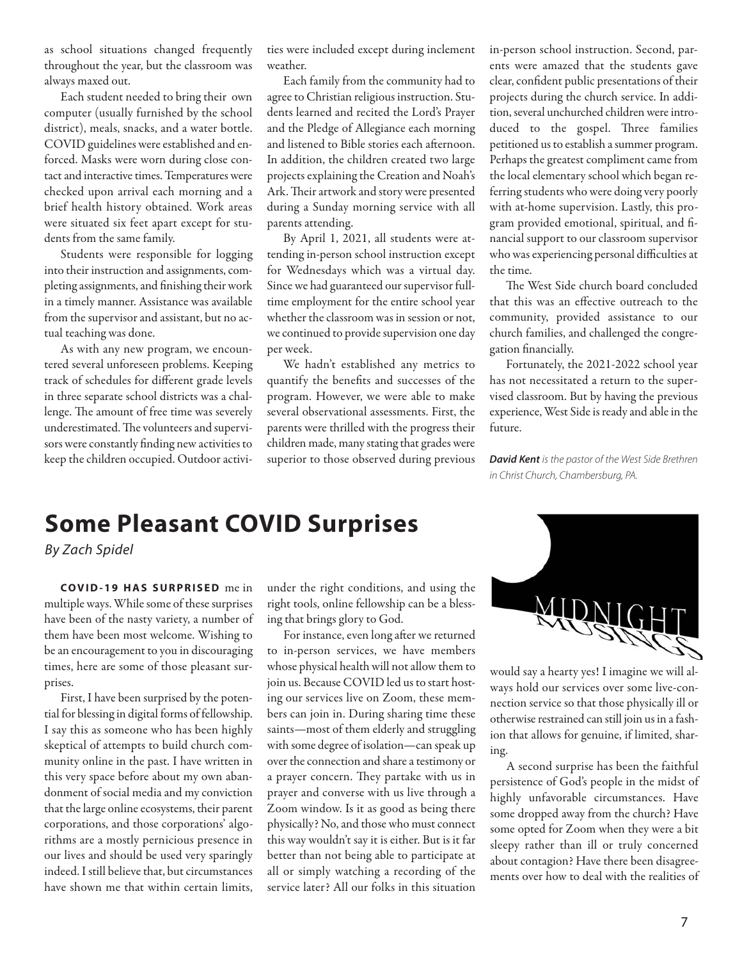as school situations changed frequently throughout the year, but the classroom was always maxed out.

Each student needed to bring their own computer (usually furnished by the school district), meals, snacks, and a water bottle. COVID guidelines were established and enforced. Masks were worn during close contact and interactive times. Temperatures were checked upon arrival each morning and a brief health history obtained. Work areas were situated six feet apart except for students from the same family.

Students were responsible for logging into their instruction and assignments, completing assignments, and finishing their work in a timely manner. Assistance was available from the supervisor and assistant, but no actual teaching was done.

As with any new program, we encountered several unforeseen problems. Keeping track of schedules for different grade levels in three separate school districts was a challenge. The amount of free time was severely underestimated. The volunteers and supervisors were constantly finding new activities to keep the children occupied. Outdoor activities were included except during inclement weather.

Each family from the community had to agree to Christian religious instruction. Students learned and recited the Lord's Prayer and the Pledge of Allegiance each morning and listened to Bible stories each afternoon. In addition, the children created two large projects explaining the Creation and Noah's Ark. Their artwork and story were presented during a Sunday morning service with all parents attending.

By April 1, 2021, all students were attending in-person school instruction except for Wednesdays which was a virtual day. Since we had guaranteed our supervisor fulltime employment for the entire school year whether the classroom was in session or not, we continued to provide supervision one day per week.

We hadn't established any metrics to quantify the benefits and successes of the program. However, we were able to make several observational assessments. First, the parents were thrilled with the progress their children made, many stating that grades were superior to those observed during previous in-person school instruction. Second, parents were amazed that the students gave clear, confident public presentations of their projects during the church service. In addition, several unchurched children were introduced to the gospel. Three families petitioned us to establish a summer program. Perhaps the greatest compliment came from the local elementary school which began referring students who were doing very poorly with at-home supervision. Lastly, this program provided emotional, spiritual, and financial support to our classroom supervisor who was experiencing personal difficulties at the time.

The West Side church board concluded that this was an effective outreach to the community, provided assistance to our church families, and challenged the congregation financially.

Fortunately, the 2021-2022 school year has not necessitated a return to the supervised classroom. But by having the previous experience, West Side is ready and able in the future.

*David Kent* is the pastor of the West Side Brethren in Christ Church, Chambersburg, PA.

## **Some Pleasant COVID Surprises**

*By Zach Spidel*

**C O V I D - 1 9 H A S S U R P R I S E D** me in multiple ways. While some of these surprises have been of the nasty variety, a number of them have been most welcome. Wishing to be an encouragement to you in discouraging times, here are some of those pleasant surprises.

First, I have been surprised by the potential for blessing in digital forms of fellowship. I say this as someone who has been highly skeptical of attempts to build church community online in the past. I have written in this very space before about my own abandonment of social media and my conviction that the large online ecosystems, their parent corporations, and those corporations' algorithms are a mostly pernicious presence in our lives and should be used very sparingly indeed. I still believe that, but circumstances have shown me that within certain limits,

under the right conditions, and using the right tools, online fellowship can be a blessing that brings glory to God.

For instance, even long after we returned to in-person services, we have members whose physical health will not allow them to join us. Because COVID led us to start hosting our services live on Zoom, these members can join in. During sharing time these saints—most of them elderly and struggling with some degree of isolation—can speak up over the connection and share a testimony or a prayer concern. They partake with us in prayer and converse with us live through a Zoom window. Is it as good as being there physically? No, and those who must connect this way wouldn't say it is either. But is it far better than not being able to participate at all or simply watching a recording of the service later? All our folks in this situation



would say a hearty yes! I imagine we will always hold our services over some live-connection service so that those physically ill or otherwise restrained can still join us in a fashion that allows for genuine, if limited, sharing.

A second surprise has been the faithful persistence of God's people in the midst of highly unfavorable circumstances. Have some dropped away from the church? Have some opted for Zoom when they were a bit sleepy rather than ill or truly concerned about contagion? Have there been disagreements over how to deal with the realities of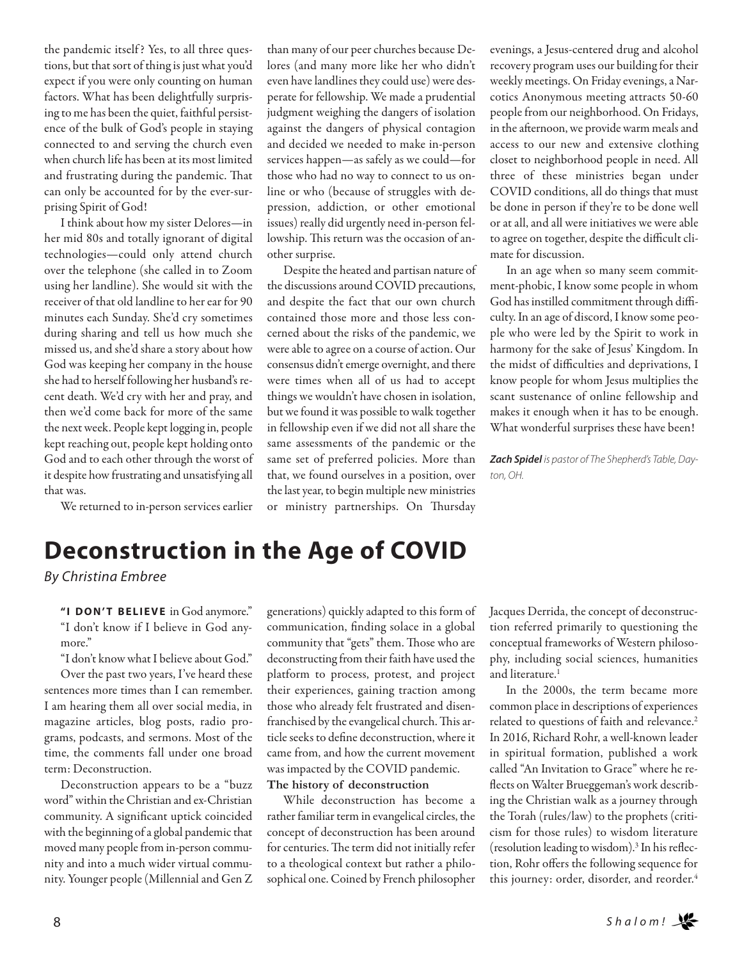the pandemic itself ? Yes, to all three questions, but that sort of thing is just what you'd expect if you were only counting on human factors. What has been delightfully surprising to me has been the quiet, faithful persistence of the bulk of God's people in staying connected to and serving the church even when church life has been at its most limited and frustrating during the pandemic. That can only be accounted for by the ever-surprising Spirit of God!

I think about how my sister Delores—in her mid 80s and totally ignorant of digital technologies—could only attend church over the telephone (she called in to Zoom using her landline). She would sit with the receiver of that old landline to her ear for 90 minutes each Sunday. She'd cry sometimes during sharing and tell us how much she missed us, and she'd share a story about how God was keeping her company in the house she had to herself following her husband's recent death. We'd cry with her and pray, and then we'd come back for more of the same the next week. People kept logging in, people kept reaching out, people kept holding onto God and to each other through the worst of it despite how frustrating and unsatisfying all that was.

We returned to in-person services earlier

than many of our peer churches because Delores (and many more like her who didn't even have landlines they could use) were desperate for fellowship. We made a prudential judgment weighing the dangers of isolation against the dangers of physical contagion and decided we needed to make in-person services happen—as safely as we could—for those who had no way to connect to us online or who (because of struggles with depression, addiction, or other emotional issues) really did urgently need in-person fellowship. This return was the occasion of another surprise.

Despite the heated and partisan nature of the discussions around COVID precautions, and despite the fact that our own church contained those more and those less concerned about the risks of the pandemic, we were able to agree on a course of action. Our consensus didn't emerge overnight, and there were times when all of us had to accept things we wouldn't have chosen in isolation, but we found it was possible to walk together in fellowship even if we did not all share the same assessments of the pandemic or the same set of preferred policies. More than that, we found ourselves in a position, over the last year, to begin multiple new ministries or ministry partnerships. On Thursday

evenings, a Jesus-centered drug and alcohol recovery program uses our building for their weekly meetings. On Friday evenings, a Narcotics Anonymous meeting attracts 50-60 people from our neighborhood. On Fridays, in the afternoon, we provide warm meals and access to our new and extensive clothing closet to neighborhood people in need. All three of these ministries began under COVID conditions, all do things that must be done in person if they're to be done well or at all, and all were initiatives we were able to agree on together, despite the difficult climate for discussion.

In an age when so many seem commitment-phobic, I know some people in whom God has instilled commitment through difficulty. In an age of discord, I know some people who were led by the Spirit to work in harmony for the sake of Jesus' Kingdom. In the midst of difficulties and deprivations, I know people for whom Jesus multiplies the scant sustenance of online fellowship and makes it enough when it has to be enough. What wonderful surprises these have been!

*Zach Spidel* is pastor of The Shepherd's Table, Dayton, OH.

### **Deconstruction in the Age of COVID**

*By Christina Embree*

"**I DON'T BELIEVE** in God anymore." "I don't know if I believe in God anymore."

"I don't know what I believe about God." Over the past two years, I've heard these sentences more times than I can remember. I am hearing them all over social media, in magazine articles, blog posts, radio programs, podcasts, and sermons. Most of the time, the comments fall under one broad term: Deconstruction.

Deconstruction appears to be a "buzz word" within the Christian and ex-Christian community. A significant uptick coincided with the beginning of a global pandemic that moved many people from in-person community and into a much wider virtual community. Younger people (Millennial and Gen Z

generations) quickly adapted to this form of communication, finding solace in a global community that "gets" them. Those who are deconstructing from their faith have used the platform to process, protest, and project their experiences, gaining traction among those who already felt frustrated and disenfranchised by the evangelical church. This article seeks to define deconstruction, where it came from, and how the current movement was impacted by the COVID pandemic.

### **The history of deconstruction**

While deconstruction has become a rather familiar term in evangelical circles, the concept of deconstruction has been around for centuries. The term did not initially refer to a theological context but rather a philosophical one. Coined by French philosopher Jacques Derrida, the concept of deconstruction referred primarily to questioning the conceptual frameworks of Western philosophy, including social sciences, humanities and literature.<sup>1</sup>

In the 2000s, the term became more common place in descriptions of experiences related to questions of faith and relevance.2 In 2016, Richard Rohr, a well-known leader in spiritual formation, published a work called "An Invitation to Grace" where he reflects on Walter Brueggeman's work describing the Christian walk as a journey through the Torah (rules/law) to the prophets (criticism for those rules) to wisdom literature (resolution leading to wisdom).3 In his reflection, Rohr offers the following sequence for this journey: order, disorder, and reorder.<sup>4</sup>

8 *S h a l o m !*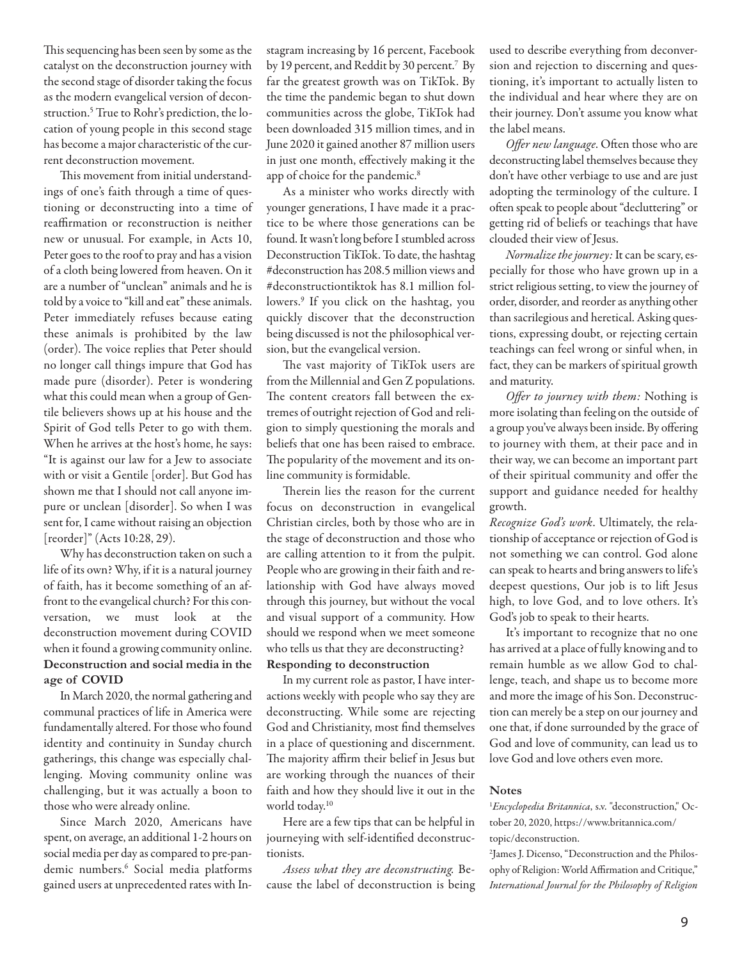This sequencing has been seen by some as the catalyst on the deconstruction journey with the second stage of disorder taking the focus as the modern evangelical version of deconstruction.<sup>5</sup> True to Rohr's prediction, the location of young people in this second stage has become a major characteristic of the current deconstruction movement.

This movement from initial understandings of one's faith through a time of questioning or deconstructing into a time of reaffirmation or reconstruction is neither new or unusual. For example, in Acts 10, Peter goes to the roof to pray and has a vision of a cloth being lowered from heaven. On it are a number of "unclean" animals and he is told by a voice to "kill and eat" these animals. Peter immediately refuses because eating these animals is prohibited by the law (order). The voice replies that Peter should no longer call things impure that God has made pure (disorder). Peter is wondering what this could mean when a group of Gentile believers shows up at his house and the Spirit of God tells Peter to go with them. When he arrives at the host's home, he says: "It is against our law for a Jew to associate with or visit a Gentile [order]. But God has shown me that I should not call anyone impure or unclean [disorder]. So when I was sent for, I came without raising an objection [reorder]" (Acts 10:28, 29).

Why has deconstruction taken on such a life of its own? Why, if it is a natural journey of faith, has it become something of an affront to the evangelical church? For this conversation, we must look at the deconstruction movement during COVID when it found a growing community online. **Deconstruction and social media in the age of COVID**

In March 2020, the normal gathering and communal practices of life in America were fundamentally altered. For those who found identity and continuity in Sunday church gatherings, this change was especially challenging. Moving community online was challenging, but it was actually a boon to those who were already online.

Since March 2020, Americans have spent, on average, an additional 1-2 hours on social media per day as compared to pre-pandemic numbers.6 Social media platforms gained users at unprecedented rates with Instagram increasing by 16 percent, Facebook by 19 percent, and Reddit by 30 percent.<sup>7</sup> By far the greatest growth was on TikTok. By the time the pandemic began to shut down communities across the globe, TikTok had been downloaded 315 million times, and in June 2020 it gained another 87 million users in just one month, effectively making it the app of choice for the pandemic.<sup>8</sup>

As a minister who works directly with younger generations, I have made it a practice to be where those generations can be found. It wasn't long before I stumbled across Deconstruction TikTok. To date, the hashtag #deconstruction has 208.5 million views and #deconstructiontiktok has 8.1 million followers.9 If you click on the hashtag, you quickly discover that the deconstruction being discussed is not the philosophical version, but the evangelical version.

The vast majority of TikTok users are from the Millennial and Gen Z populations. The content creators fall between the extremes of outright rejection of God and religion to simply questioning the morals and beliefs that one has been raised to embrace. The popularity of the movement and its online community is formidable.

Therein lies the reason for the current focus on deconstruction in evangelical Christian circles, both by those who are in the stage of deconstruction and those who are calling attention to it from the pulpit. People who are growing in their faith and relationship with God have always moved through this journey, but without the vocal and visual support of a community. How should we respond when we meet someone who tells us that they are deconstructing?

### **Responding to deconstruction**

In my current role as pastor, I have interactions weekly with people who say they are deconstructing. While some are rejecting God and Christianity, most find themselves in a place of questioning and discernment. The majority affirm their belief in Jesus but are working through the nuances of their faith and how they should live it out in the world today.10

Here are a few tips that can be helpful in journeying with self-identified deconstructionists.

Assess what they are deconstructing. Because the label of deconstruction is being used to describe everything from deconversion and rejection to discerning and questioning, it's important to actually listen to the individual and hear where they are on their journey. Don't assume you know what the label means.

Offer new language. Often those who are deconstructing label themselves because they don't have other verbiage to use and are just adopting the terminology of the culture. I often speak to people about "decluttering" or getting rid of beliefs or teachings that have clouded their view of Jesus.

Normalize the journey: It can be scary, especially for those who have grown up in a strict religious setting, to view the journey of order, disorder, and reorder as anything other than sacrilegious and heretical. Asking questions, expressing doubt, or rejecting certain teachings can feel wrong or sinful when, in fact, they can be markers of spiritual growth and maturity.

Offer to journey with them: Nothing is more isolating than feeling on the outside of a group you've always been inside. By offering to journey with them, at their pace and in their way, we can become an important part of their spiritual community and offer the support and guidance needed for healthy growth.

Recognize God's work. Ultimately, the relationship of acceptance or rejection of God is not something we can control. God alone can speak to hearts and bring answers to life's deepest questions, Our job is to lift Jesus high, to love God, and to love others. It's God's job to speak to their hearts.

It's important to recognize that no one has arrived at a place of fully knowing and to remain humble as we allow God to challenge, teach, and shape us to become more and more the image of his Son. Deconstruction can merely be a step on our journey and one that, if done surrounded by the grace of God and love of community, can lead us to love God and love others even more.

### **Notes**

<sup>1</sup>Encyclopedia Britannica, s.v. "deconstruction," October 20, 2020, https://www.britannica.com/ topic/deconstruction.

2 James J. Dicenso, "Deconstruction and the Philosophy of Religion: World Affirmation and Critique," International Journal for the Philosophy of Religion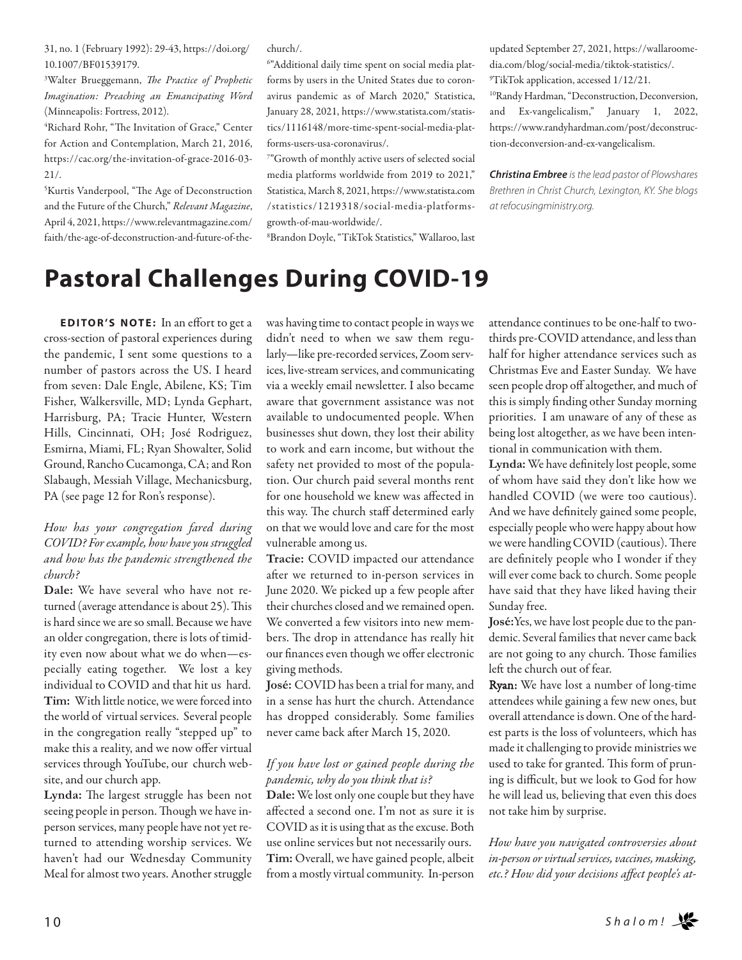31, no. 1 (February 1992): 29-43, https://doi.org/ 10.1007/BF01539179.

<sup>3</sup>Walter Brueggemann, *The Practice of Prophetic* Imagination: Preaching an Emancipating Word (Minneapolis: Fortress, 2012).

<sup>4</sup>Richard Rohr, "The Invitation of Grace," Center for Action and Contemplation, March 21, 2016, https://cac.org/the-invitation-of-grace-2016-03- 21/.

<sup>5</sup>Kurtis Vanderpool, "The Age of Deconstruction and the Future of the Church," Relevant Magazine, April 4, 2021, https://www.relevantmagazine.com/ faith/the-age-of-deconstruction-and-future-of-thechurch/.

6 "Additional daily time spent on social media platforms by users in the United States due to coronavirus pandemic as of March 2020," Statistica, January 28, 2021, https://www.statista.com/statistics/1116148/more-time-spent-social-media-platforms-users-usa-coronavirus/.

7 "Growth of monthly active users of selected social media platforms worldwide from 2019 to 2021," Statistica, March 8, 2021, https://www.statista.com /statistics/1219318/social-media-platformsgrowth-of-mau-worldwide/.

8 Brandon Doyle, "TikTok Statistics," Wallaroo, last

updated September 27, 2021, https://wallaroomedia.com/blog/social-media/tiktok-statistics/. 9 TikTok application, accessed 1/12/21.

10Randy Hardman, "Deconstruction, Deconversion, and Ex-vangelicalism," January 1, 2022, https://www.randyhardman.com/post/deconstruction-deconversion-and-ex-vangelicalism.

*Christina Embree* is the lead pastor of Plowshares Brethren in Christ Church, Lexington, KY. She blogs at refocusingministry.org.

## **Pastoral Challenges During COVID-19**

**EDITOR'S NOTE:** In an effort to get a cross-section of pastoral experiences during the pandemic, I sent some questions to a number of pastors across the US. I heard from seven: Dale Engle, Abilene, KS; Tim Fisher, Walkersville, MD; Lynda Gephart, Harrisburg, PA; Tracie Hunter, Western Hills, Cincinnati, OH; José Rodriguez, Esmirna, Miami, FL; Ryan Showalter, Solid Ground, Rancho Cucamonga, CA; and Ron Slabaugh, Messiah Village, Mechanicsburg, PA (see page 12 for Ron's response).

### How has your congregation fared during COVID? For example, how have you struggled and how has the pandemic strengthened the church?

**Dale:** We have several who have not returned (average attendance is about 25). This is hard since we are so small. Because we have an older congregation, there is lots of timidity even now about what we do when—especially eating together. We lost a key individual to COVID and that hit us hard. **Tim:** With little notice, we were forced into the world of virtual services. Several people in the congregation really "stepped up" to make this a reality, and we now offer virtual services through YouTube, our church website, and our church app.

Lynda: The largest struggle has been not seeing people in person. Though we have inperson services, many people have not yet returned to attending worship services. We haven't had our Wednesday Community Meal for almost two years. Another struggle

was having time to contact people in ways we didn't need to when we saw them regularly—like pre-recorded services, Zoom services, live-stream services, and communicating via a weekly email newsletter. I also became aware that government assistance was not available to undocumented people. When businesses shut down, they lost their ability to work and earn income, but without the safety net provided to most of the population. Our church paid several months rent for one household we knew was affected in this way. The church staff determined early on that we would love and care for the most vulnerable among us.

**Tracie:** COVID impacted our attendance after we returned to in-person services in June 2020. We picked up a few people after their churches closed and we remained open. We converted a few visitors into new members. The drop in attendance has really hit our finances even though we offer electronic giving methods.

**José:** COVID has been a trial for many, and in a sense has hurt the church. Attendance has dropped considerably. Some families never came back after March 15, 2020.

### If you have lost or gained people during the pandemic, why do you think that is?

**Dale:** We lost only one couple but they have affected a second one. I'm not as sure it is COVID as it is using that as the excuse. Both use online services but not necessarily ours. **Tim:** Overall, we have gained people, albeit from a mostly virtual community. In-person attendance continues to be one-half to twothirds pre-COVID attendance, and less than half for higher attendance services such as Christmas Eve and Easter Sunday. We have seen people drop off altogether, and much of this is simply finding other Sunday morning priorities. I am unaware of any of these as being lost altogether, as we have been intentional in communication with them.

**Lynda:** We have definitely lost people, some of whom have said they don't like how we handled COVID (we were too cautious). And we have definitely gained some people, especially people who were happy about how we were handling COVID (cautious). There are definitely people who I wonder if they will ever come back to church. Some people have said that they have liked having their Sunday free.

**José:**Yes, we have lost people due to the pandemic. Several families that never came back are not going to any church. Those families left the church out of fear.

Ryan: We have lost a number of long-time attendees while gaining a few new ones, but overall attendance is down. One of the hardest parts is the loss of volunteers, which has made it challenging to provide ministries we used to take for granted. This form of pruning is difficult, but we look to God for how he will lead us, believing that even this does not take him by surprise.

How have you navigated controversies about in-person or virtual services, vaccines, masking, etc.? How did your decisions affect people's at-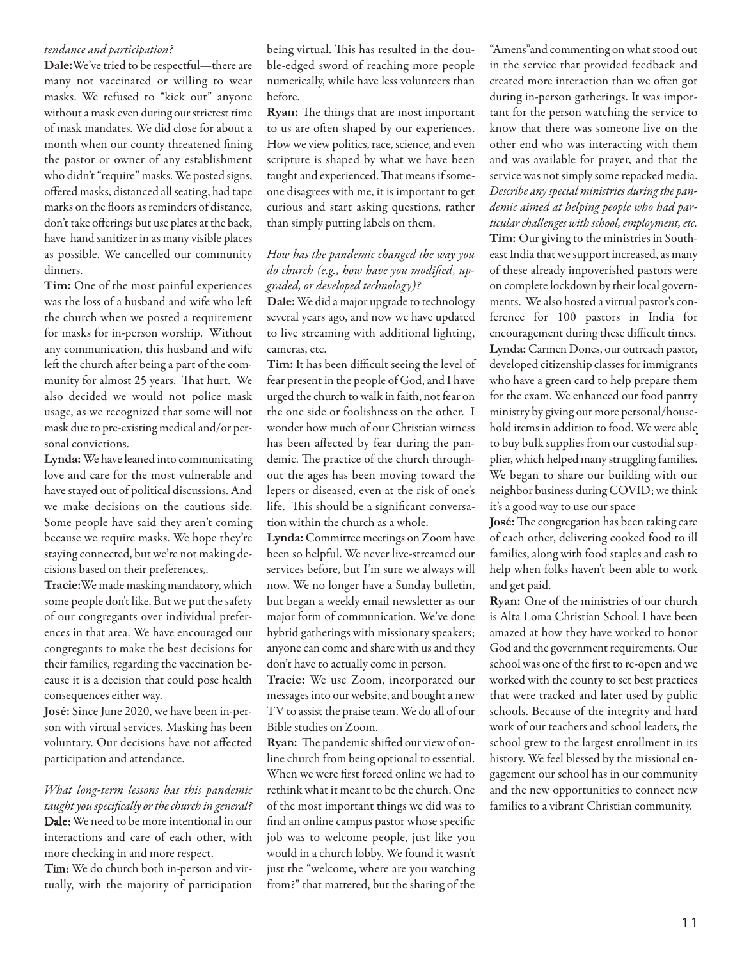### tendance and participation?

**Dale:**We've tried to be respectful—there are many not vaccinated or willing to wear masks. We refused to "kick out" anyone without a mask even during our strictest time of mask mandates. We did close for about a month when our county threatened fining the pastor or owner of any establishment who didn't "require" masks. We posted signs, offered masks, distanced all seating, had tape marks on the floors as reminders of distance, don't take offerings but use plates at the back, have hand sanitizer in as many visible places as possible. We cancelled our community dinners.

**Tim:** One of the most painful experiences was the loss of a husband and wife who le the church when we posted a requirement for masks for in-person worship. Without any communication, this husband and wife left the church after being a part of the community for almost 25 years. That hurt. We also decided we would not police mask usage, as we recognized that some will not mask due to pre-existing medical and/or personal convictions.

**Lynda:**We have leaned into communicating love and care for the most vulnerable and have stayed out of political discussions. And we make decisions on the cautious side. Some people have said they aren't coming because we require masks. We hope they're staying connected, but we're not making decisions based on their preferences,.

**Tracie:**We made masking mandatory, which some people don't like. But we put the safety of our congregants over individual preferences in that area. We have encouraged our congregants to make the best decisions for their families, regarding the vaccination because it is a decision that could pose health consequences either way.

**José:** Since June 2020, we have been in-person with virtual services. Masking has been voluntary. Our decisions have not affected participation and attendance.

### What long-term lessons has this pandemic taught you specifically or the church in general? Dale: We need to be more intentional in our interactions and care of each other, with more checking in and more respect.

Tim: We do church both in-person and virtually, with the majority of participation

being virtual. This has resulted in the double-edged sword of reaching more people numerically, while have less volunteers than before.

Ryan: The things that are most important to us are often shaped by our experiences. How we view politics, race, science, and even scripture is shaped by what we have been taught and experienced. That means if someone disagrees with me, it is important to get curious and start asking questions, rather than simply putting labels on them.

### How has the pandemic changed the way you do church (e.g., how have you modified, upgraded, or developed technology)?

**Dale:**We did a major upgrade to technology several years ago, and now we have updated to live streaming with additional lighting, cameras, etc.

**Tim:** It has been difficult seeing the level of fear present in the people of God, and I have urged the church to walk in faith, not fear on the one side or foolishness on the other. I wonder how much of our Christian witness has been affected by fear during the pandemic. The practice of the church throughout the ages has been moving toward the lepers or diseased, even at the risk of one's life. This should be a significant conversation within the church as a whole.

**Lynda:** Committee meetings on Zoom have been so helpful. We never live-streamed our services before, but I'm sure we always will now. We no longer have a Sunday bulletin, but began a weekly email newsletter as our major form of communication. We've done hybrid gatherings with missionary speakers; anyone can come and share with us and they don't have to actually come in person.

**Tracie:** We use Zoom, incorporated our messages into our website, and bought a new TV to assist the praise team. We do all of our Bible studies on Zoom.

Ryan: The pandemic shifted our view of online church from being optional to essential. When we were first forced online we had to rethink what it meant to be the church. One of the most important things we did was to find an online campus pastor whose specific job was to welcome people, just like you would in a church lobby. We found it wasn't just the "welcome, where are you watching from?" that mattered, but the sharing of the

"Amens"and commenting on what stood out in the service that provided feedback and created more interaction than we often got during in-person gatherings. It was important for the person watching the service to know that there was someone live on the other end who was interacting with them and was available for prayer, and that the service was not simply some repacked media. Describe any special ministries during the pandemic aimed at helping people who had particular challenges with school, employment, etc. **Tim:** Our giving to the ministries in Southeast India that we support increased, as many of these already impoverished pastors were on complete lockdown by their local governments. We also hosted a virtual pastor's conference for 100 pastors in India for encouragement during these difficult times. **Lynda:** Carmen Dones, our outreach pastor, developed citizenship classes for immigrants who have a green card to help prepare them for the exam. We enhanced our food pantry ministry by giving out more personal/household items in addition to food. We were able to buy bulk supplies from our custodial supplier, which helped many struggling families. We began to share our building with our neighbor business during COVID; we think it's a good way to use our space

José: The congregation has been taking care of each other, delivering cooked food to ill families, along with food staples and cash to help when folks haven't been able to work and get paid.

**Ryan:** One of the ministries of our church is Alta Loma Christian School. I have been amazed at how they have worked to honor God and the government requirements. Our school was one of the first to re-open and we worked with the county to set best practices that were tracked and later used by public schools. Because of the integrity and hard work of our teachers and school leaders, the school grew to the largest enrollment in its history. We feel blessed by the missional engagement our school has in our community and the new opportunities to connect new families to a vibrant Christian community.